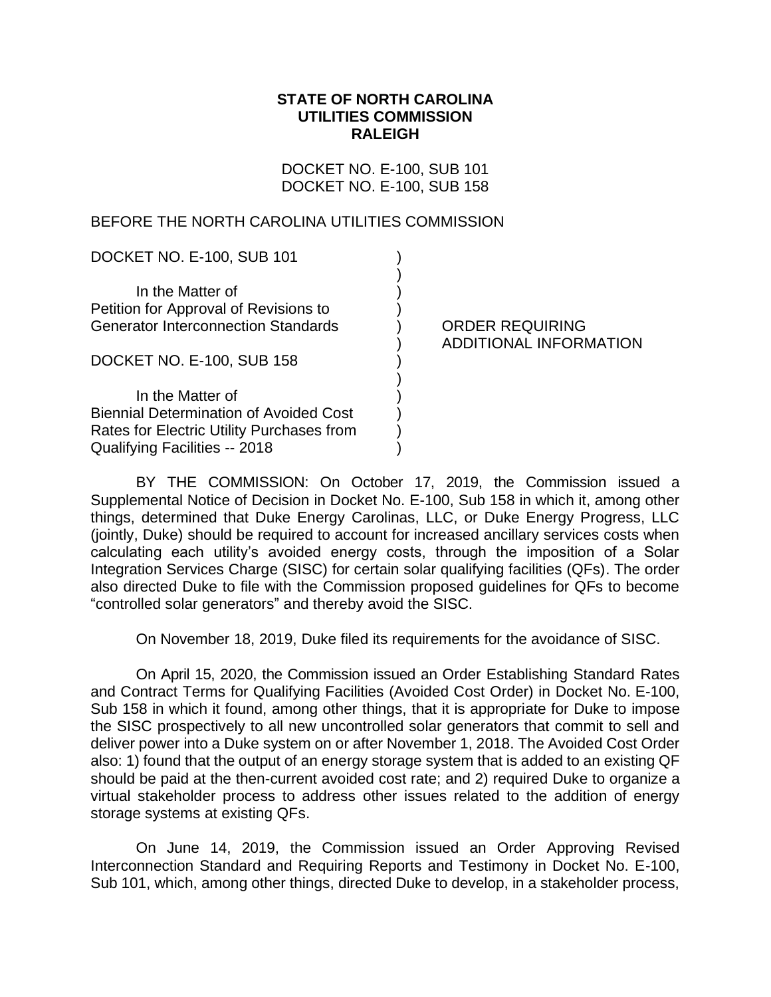## **STATE OF NORTH CAROLINA UTILITIES COMMISSION RALEIGH**

DOCKET NO. E-100, SUB 101 DOCKET NO. E-100, SUB 158

> ) ) ) ) ) ) ) ) ) ) ) )

## BEFORE THE NORTH CAROLINA UTILITIES COMMISSION

DOCKET NO. E-100, SUB 101

In the Matter of Petition for Approval of Revisions to Generator Interconnection Standards

DOCKET NO. E-100, SUB 158

In the Matter of Biennial Determination of Avoided Cost Rates for Electric Utility Purchases from Qualifying Facilities -- 2018

ORDER REQUIRING ADDITIONAL INFORMATION

BY THE COMMISSION: On October 17, 2019, the Commission issued a Supplemental Notice of Decision in Docket No. E-100, Sub 158 in which it, among other things, determined that Duke Energy Carolinas, LLC, or Duke Energy Progress, LLC (jointly, Duke) should be required to account for increased ancillary services costs when calculating each utility's avoided energy costs, through the imposition of a Solar Integration Services Charge (SISC) for certain solar qualifying facilities (QFs). The order also directed Duke to file with the Commission proposed guidelines for QFs to become "controlled solar generators" and thereby avoid the SISC.

On November 18, 2019, Duke filed its requirements for the avoidance of SISC.

On April 15, 2020, the Commission issued an Order Establishing Standard Rates and Contract Terms for Qualifying Facilities (Avoided Cost Order) in Docket No. E-100, Sub 158 in which it found, among other things, that it is appropriate for Duke to impose the SISC prospectively to all new uncontrolled solar generators that commit to sell and deliver power into a Duke system on or after November 1, 2018. The Avoided Cost Order also: 1) found that the output of an energy storage system that is added to an existing QF should be paid at the then-current avoided cost rate; and 2) required Duke to organize a virtual stakeholder process to address other issues related to the addition of energy storage systems at existing QFs.

On June 14, 2019, the Commission issued an Order Approving Revised Interconnection Standard and Requiring Reports and Testimony in Docket No. E-100, Sub 101, which, among other things, directed Duke to develop, in a stakeholder process,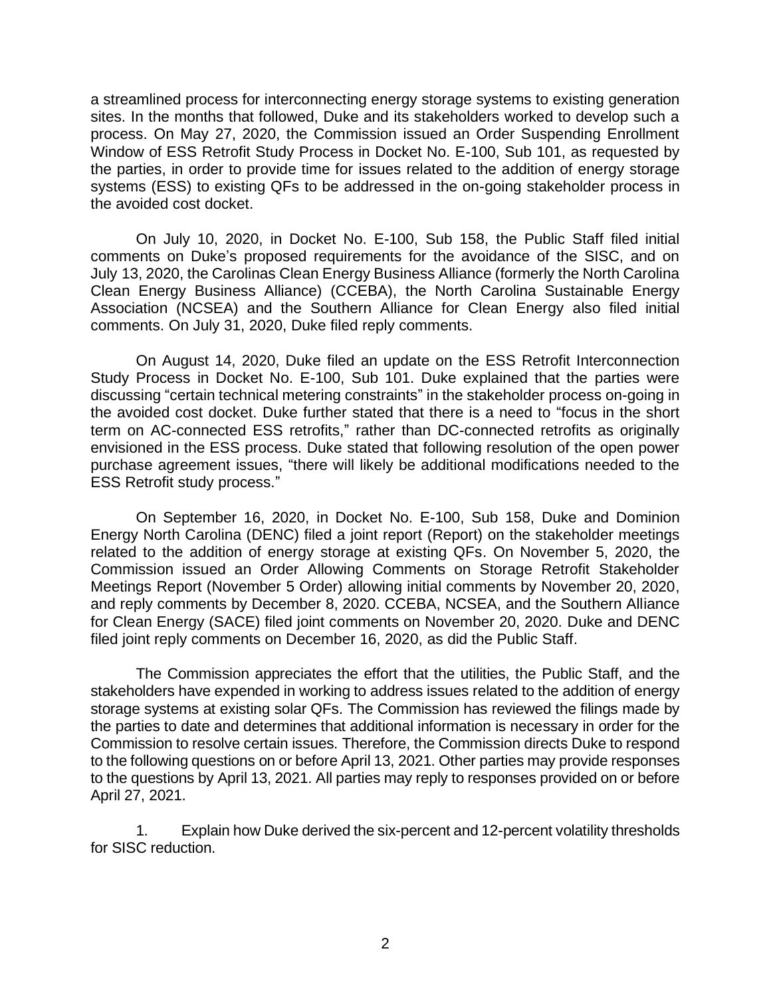a streamlined process for interconnecting energy storage systems to existing generation sites. In the months that followed, Duke and its stakeholders worked to develop such a process. On May 27, 2020, the Commission issued an Order Suspending Enrollment Window of ESS Retrofit Study Process in Docket No. E-100, Sub 101, as requested by the parties, in order to provide time for issues related to the addition of energy storage systems (ESS) to existing QFs to be addressed in the on-going stakeholder process in the avoided cost docket.

On July 10, 2020, in Docket No. E-100, Sub 158, the Public Staff filed initial comments on Duke's proposed requirements for the avoidance of the SISC, and on July 13, 2020, the Carolinas Clean Energy Business Alliance (formerly the North Carolina Clean Energy Business Alliance) (CCEBA), the North Carolina Sustainable Energy Association (NCSEA) and the Southern Alliance for Clean Energy also filed initial comments. On July 31, 2020, Duke filed reply comments.

On August 14, 2020, Duke filed an update on the ESS Retrofit Interconnection Study Process in Docket No. E-100, Sub 101. Duke explained that the parties were discussing "certain technical metering constraints" in the stakeholder process on-going in the avoided cost docket. Duke further stated that there is a need to "focus in the short term on AC-connected ESS retrofits," rather than DC-connected retrofits as originally envisioned in the ESS process. Duke stated that following resolution of the open power purchase agreement issues, "there will likely be additional modifications needed to the ESS Retrofit study process."

On September 16, 2020, in Docket No. E-100, Sub 158, Duke and Dominion Energy North Carolina (DENC) filed a joint report (Report) on the stakeholder meetings related to the addition of energy storage at existing QFs. On November 5, 2020, the Commission issued an Order Allowing Comments on Storage Retrofit Stakeholder Meetings Report (November 5 Order) allowing initial comments by November 20, 2020, and reply comments by December 8, 2020. CCEBA, NCSEA, and the Southern Alliance for Clean Energy (SACE) filed joint comments on November 20, 2020. Duke and DENC filed joint reply comments on December 16, 2020, as did the Public Staff.

The Commission appreciates the effort that the utilities, the Public Staff, and the stakeholders have expended in working to address issues related to the addition of energy storage systems at existing solar QFs. The Commission has reviewed the filings made by the parties to date and determines that additional information is necessary in order for the Commission to resolve certain issues. Therefore, the Commission directs Duke to respond to the following questions on or before April 13, 2021. Other parties may provide responses to the questions by April 13, 2021. All parties may reply to responses provided on or before April 27, 2021.

1. Explain how Duke derived the six-percent and 12-percent volatility thresholds for SISC reduction.